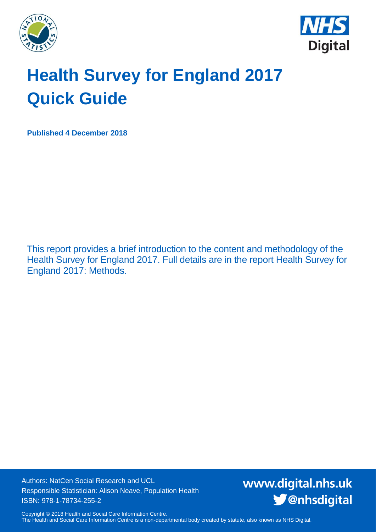



# **Health Survey for England 2017 Quick Guide**

**Published 4 December 2018**

This report provides a brief introduction to the content and methodology of the Health Survey for England 2017. Full details are in the report Health Survey for England 2017: Methods.

Authors: NatCen Social Research and UCL Responsible Statistician: Alison Neave, Population Health ISBN: 978-1-78734-255-2

www.digital.nhs.uk S @nhsdigital

Copyright © 2018 Health and Social Care Information Centre. The Health and Social Care Information Centre is a non-departmental body created by statute, also known as NHS Digital.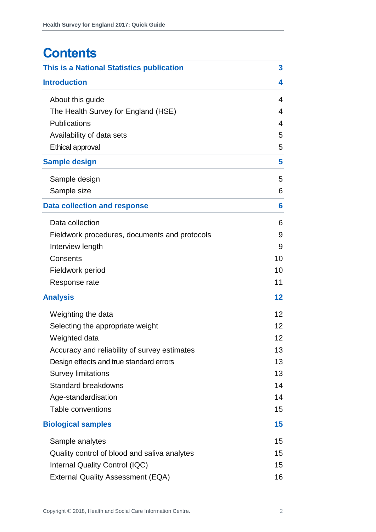# **Contents**

| This is a National Statistics publication     | 3  |
|-----------------------------------------------|----|
| <b>Introduction</b>                           | 4  |
| About this guide                              | 4  |
| The Health Survey for England (HSE)           | 4  |
| <b>Publications</b>                           | 4  |
| Availability of data sets                     | 5  |
| Ethical approval                              | 5  |
| <b>Sample design</b>                          | 5  |
| Sample design                                 | 5  |
| Sample size                                   | 6  |
| <b>Data collection and response</b>           | 6  |
| Data collection                               | 6  |
| Fieldwork procedures, documents and protocols | 9  |
| Interview length                              | 9  |
| Consents                                      | 10 |
| Fieldwork period                              | 10 |
| Response rate                                 | 11 |
| <b>Analysis</b>                               | 12 |
| Weighting the data                            | 12 |
| Selecting the appropriate weight              | 12 |
| Weighted data                                 | 12 |
| Accuracy and reliability of survey estimates  | 13 |
| Design effects and true standard errors       | 13 |
| <b>Survey limitations</b>                     | 13 |
| <b>Standard breakdowns</b>                    | 14 |
| Age-standardisation                           | 14 |
| Table conventions                             | 15 |
| <b>Biological samples</b>                     | 15 |
| Sample analytes                               | 15 |
| Quality control of blood and saliva analytes  | 15 |
| Internal Quality Control (IQC)                | 15 |
| <b>External Quality Assessment (EQA)</b>      | 16 |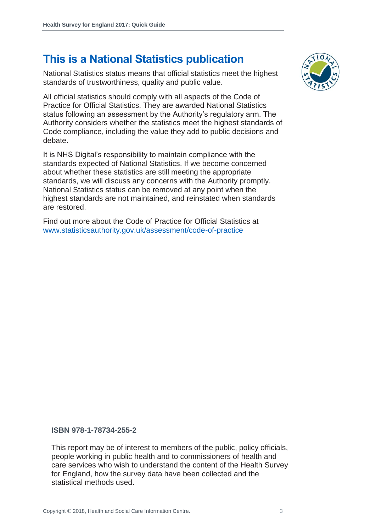## **This is a National Statistics publication**

National Statistics status means that official statistics meet the highest standards of trustworthiness, quality and public value.

All official statistics should comply with all aspects of the Code of Practice for Official Statistics. They are awarded National Statistics status following an assessment by the Authority's regulatory arm. The Authority considers whether the statistics meet the highest standards of Code compliance, including the value they add to public decisions and debate.

It is NHS Digital's responsibility to maintain compliance with the standards expected of National Statistics. If we become concerned about whether these statistics are still meeting the appropriate standards, we will discuss any concerns with the Authority promptly. National Statistics status can be removed at any point when the highest standards are not maintained, and reinstated when standards are restored.

Find out more about the Code of Practice for Official Statistics at [www.statisticsauthority.gov.uk/assessment/code-of-practice](http://www.statisticsauthority.gov.uk/assessment/code-of-practice)



#### **ISBN 978-1-78734-255-2**

This report may be of interest to members of the public, policy officials, people working in public health and to commissioners of health and care services who wish to understand the content of the Health Survey for England, how the survey data have been collected and the statistical methods used.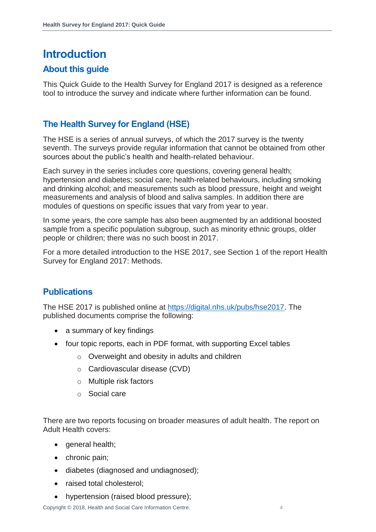## <span id="page-3-0"></span>**Introduction**

#### <span id="page-3-1"></span>**About this guide**

This Quick Guide to the Health Survey for England 2017 is designed as a reference tool to introduce the survey and indicate where further information can be found.

#### <span id="page-3-2"></span>**The Health Survey for England (HSE)**

The HSE is a series of annual surveys, of which the 2017 survey is the twenty seventh. The surveys provide regular information that cannot be obtained from other sources about the public's health and health-related behaviour.

Each survey in the series includes core questions, covering general health; hypertension and diabetes; social care; health-related behaviours, including smoking and drinking alcohol; and measurements such as blood pressure, height and weight measurements and analysis of blood and saliva samples. In addition there are modules of questions on specific issues that vary from year to year.

In some years, the core sample has also been augmented by an additional boosted sample from a specific population subgroup, such as minority ethnic groups, older people or children; there was no such boost in 2017.

For a more detailed introduction to the HSE 2017, see Section 1 of the report Health Survey for England 2017: Methods.

#### <span id="page-3-3"></span>**Publications**

The HSE 2017 is published online at [https://digital.nhs.uk/pubs/hse2017.](https://digital.nhs.uk/pubs/hse2017) The published documents comprise the following:

- a summary of key findings
- four topic reports, each in PDF format, with supporting Excel tables
	- o Overweight and obesity in adults and children
	- o Cardiovascular disease (CVD)
	- o Multiple risk factors
	- o Social care

There are two reports focusing on broader measures of adult health. The report on Adult Health covers:

- general health;
- chronic pain;
- diabetes (diagnosed and undiagnosed);
- raised total cholesterol;
- hypertension (raised blood pressure);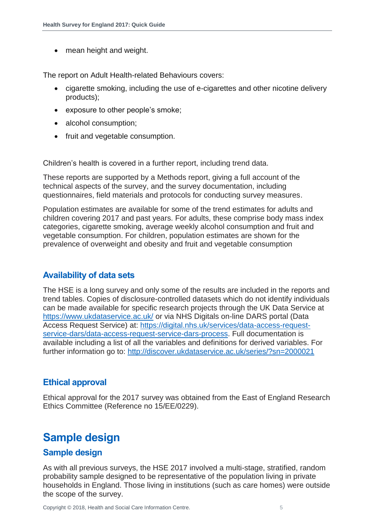• mean height and weight.

The report on Adult Health-related Behaviours covers:

- cigarette smoking, including the use of e-cigarettes and other nicotine delivery products);
- exposure to other people's smoke;
- alcohol consumption;
- fruit and vegetable consumption.

Children's health is covered in a further report, including trend data.

These reports are supported by a Methods report, giving a full account of the technical aspects of the survey, and the survey documentation, including questionnaires, field materials and protocols for conducting survey measures.

Population estimates are available for some of the trend estimates for adults and children covering 2017 and past years. For adults, these comprise body mass index categories, cigarette smoking, average weekly alcohol consumption and fruit and vegetable consumption. For children, population estimates are shown for the prevalence of overweight and obesity and fruit and vegetable consumption

#### <span id="page-4-0"></span>**Availability of data sets**

The HSE is a long survey and only some of the results are included in the reports and trend tables. Copies of disclosure-controlled datasets which do not identify individuals can be made available for specific research projects through the UK Data Service at <https://www.ukdataservice.ac.uk/> or via NHS Digitals on-line DARS portal (Data Access Request Service) at: [https://digital.nhs.uk/services/data-access-request](https://digital.nhs.uk/services/data-access-request-service-dars/data-access-request-service-dars-process)[service-dars/data-access-request-service-dars-process.](https://digital.nhs.uk/services/data-access-request-service-dars/data-access-request-service-dars-process) Full documentation is available including a list of all the variables and definitions for derived variables. For further information go to:<http://discover.ukdataservice.ac.uk/series/?sn=2000021>

#### <span id="page-4-1"></span>**Ethical approval**

Ethical approval for the 2017 survey was obtained from the East of England Research Ethics Committee (Reference no 15/EE/0229).

## <span id="page-4-2"></span>**Sample design**

#### <span id="page-4-3"></span>**Sample design**

As with all previous surveys, the HSE 2017 involved a multi-stage, stratified, random probability sample designed to be representative of the population living in private households in England. Those living in institutions (such as care homes) were outside the scope of the survey.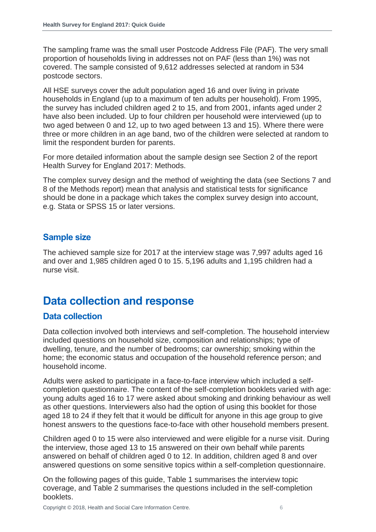The sampling frame was the small user Postcode Address File (PAF). The very small proportion of households living in addresses not on PAF (less than 1%) was not covered. The sample consisted of 9,612 addresses selected at random in 534 postcode sectors.

All HSE surveys cover the adult population aged 16 and over living in private households in England (up to a maximum of ten adults per household). From 1995, the survey has included children aged 2 to 15, and from 2001, infants aged under 2 have also been included. Up to four children per household were interviewed (up to two aged between 0 and 12, up to two aged between 13 and 15). Where there were three or more children in an age band, two of the children were selected at random to limit the respondent burden for parents.

For more detailed information about the sample design see Section 2 of the report Health Survey for England 2017: Methods.

The complex survey design and the method of weighting the data (see Sections 7 and 8 of the Methods report) mean that analysis and statistical tests for significance should be done in a package which takes the complex survey design into account, e.g. Stata or SPSS 15 or later versions.

#### <span id="page-5-0"></span>**Sample size**

The achieved sample size for 2017 at the interview stage was 7,997 adults aged 16 and over and 1,985 children aged 0 to 15. 5,196 adults and 1,195 children had a nurse visit.

### <span id="page-5-1"></span>**Data collection and response**

#### <span id="page-5-2"></span>**Data collection**

Data collection involved both interviews and self-completion. The household interview included questions on household size, composition and relationships; type of dwelling, tenure, and the number of bedrooms; car ownership; smoking within the home; the economic status and occupation of the household reference person; and household income.

Adults were asked to participate in a face-to-face interview which included a selfcompletion questionnaire. The content of the self-completion booklets varied with age: young adults aged 16 to 17 were asked about smoking and drinking behaviour as well as other questions. Interviewers also had the option of using this booklet for those aged 18 to 24 if they felt that it would be difficult for anyone in this age group to give honest answers to the questions face-to-face with other household members present.

Children aged 0 to 15 were also interviewed and were eligible for a nurse visit. During the interview, those aged 13 to 15 answered on their own behalf while parents answered on behalf of children aged 0 to 12. In addition, children aged 8 and over answered questions on some sensitive topics within a self-completion questionnaire.

On the following pages of this guide, Table 1 summarises the interview topic coverage, and Table 2 summarises the questions included in the self-completion booklets.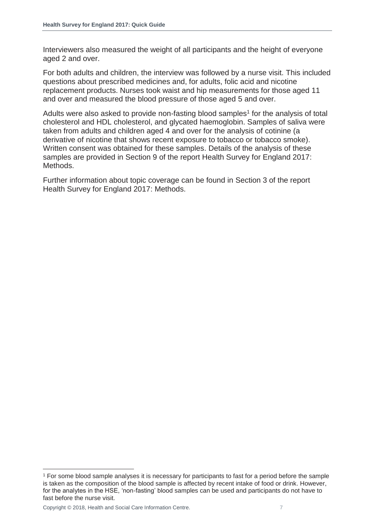Interviewers also measured the weight of all participants and the height of everyone aged 2 and over.

For both adults and children, the interview was followed by a nurse visit. This included questions about prescribed medicines and, for adults, folic acid and nicotine replacement products. Nurses took waist and hip measurements for those aged 11 and over and measured the blood pressure of those aged 5 and over.

Adults were also asked to provide non-fasting blood samples<sup>1</sup> for the analysis of total cholesterol and HDL cholesterol, and glycated haemoglobin. Samples of saliva were taken from adults and children aged 4 and over for the analysis of cotinine (a derivative of nicotine that shows recent exposure to tobacco or tobacco smoke). Written consent was obtained for these samples. Details of the analysis of these samples are provided in Section 9 of the report Health Survey for England 2017: Methods.

Further information about topic coverage can be found in Section 3 of the report Health Survey for England 2017: Methods.

l

<sup>1</sup> For some blood sample analyses it is necessary for participants to fast for a period before the sample is taken as the composition of the blood sample is affected by recent intake of food or drink. However, for the analytes in the HSE, 'non-fasting' blood samples can be used and participants do not have to fast before the nurse visit.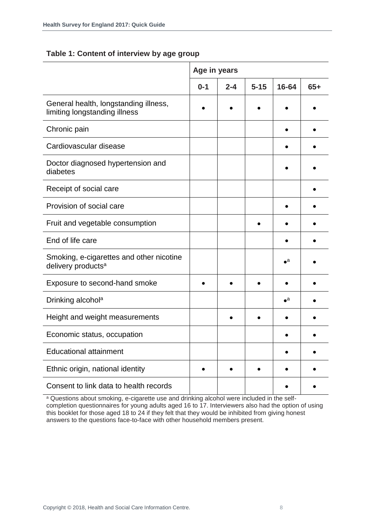#### **Table 1: Content of interview by age group**

|                                                                            | Age in years |         |          |                    |       |
|----------------------------------------------------------------------------|--------------|---------|----------|--------------------|-------|
|                                                                            | $0 - 1$      | $2 - 4$ | $5 - 15$ | 16-64              | $65+$ |
| General health, longstanding illness,<br>limiting longstanding illness     |              |         |          |                    |       |
| Chronic pain                                                               |              |         |          |                    |       |
| Cardiovascular disease                                                     |              |         |          |                    |       |
| Doctor diagnosed hypertension and<br>diabetes                              |              |         |          |                    |       |
| Receipt of social care                                                     |              |         |          |                    |       |
| Provision of social care                                                   |              |         |          |                    |       |
| Fruit and vegetable consumption                                            |              |         |          |                    |       |
| End of life care                                                           |              |         |          |                    |       |
| Smoking, e-cigarettes and other nicotine<br>delivery products <sup>a</sup> |              |         |          | $\bullet^a$        |       |
| Exposure to second-hand smoke                                              |              |         |          |                    |       |
| Drinking alcohol <sup>a</sup>                                              |              |         |          | $\bullet^\text{a}$ |       |
| Height and weight measurements                                             |              |         |          |                    |       |
| Economic status, occupation                                                |              |         |          |                    |       |
| <b>Educational attainment</b>                                              |              |         |          |                    |       |
| Ethnic origin, national identity                                           |              |         |          |                    |       |
| Consent to link data to health records                                     |              |         |          |                    |       |

<sup>a</sup> Questions about smoking, e-cigarette use and drinking alcohol were included in the selfcompletion questionnaires for young adults aged 16 to 17. Interviewers also had the option of using this booklet for those aged 18 to 24 if they felt that they would be inhibited from giving honest answers to the questions face-to-face with other household members present.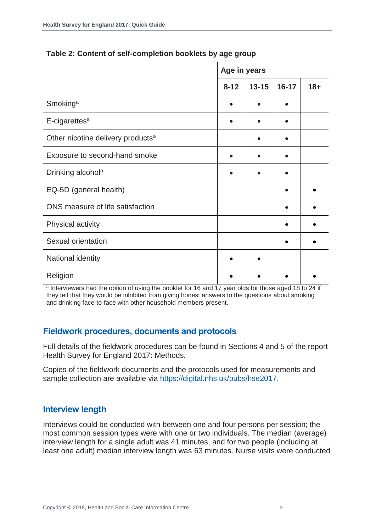|                                               | Age in years |           |           |        |
|-----------------------------------------------|--------------|-----------|-----------|--------|
|                                               | $8 - 12$     | $13 - 15$ | $16 - 17$ | $18 +$ |
| Smoking <sup>a</sup>                          |              |           |           |        |
| E-cigarettes <sup>a</sup>                     |              |           |           |        |
| Other nicotine delivery products <sup>a</sup> |              |           |           |        |
| Exposure to second-hand smoke                 |              |           |           |        |
| Drinking alcohol <sup>a</sup>                 |              |           |           |        |
| EQ-5D (general health)                        |              |           |           |        |
| ONS measure of life satisfaction              |              |           |           |        |
| Physical activity                             |              |           |           |        |
| Sexual orientation                            |              |           |           |        |
| National identity                             |              |           |           |        |
| Religion                                      |              |           |           |        |

#### **Table 2: Content of self-completion booklets by age group**

a Interviewers had the option of using the booklet for 16 and 17 year olds for those aged 18 to 24 if they felt that they would be inhibited from giving honest answers to the questions about smoking and drinking face-to-face with other household members present.

#### <span id="page-8-0"></span>**Fieldwork procedures, documents and protocols**

Full details of the fieldwork procedures can be found in Sections 4 and 5 of the report Health Survey for England 2017: Methods.

Copies of the fieldwork documents and the protocols used for measurements and sample collection are available via [https://digital.nhs.uk/pubs/hse2017.](https://digital.nhs.uk/pubs/hse2017)

#### <span id="page-8-1"></span>**Interview length**

Interviews could be conducted with between one and four persons per session; the most common session types were with one or two individuals. The median (average) interview length for a single adult was 41 minutes, and for two people (including at least one adult) median interview length was 63 minutes. Nurse visits were conducted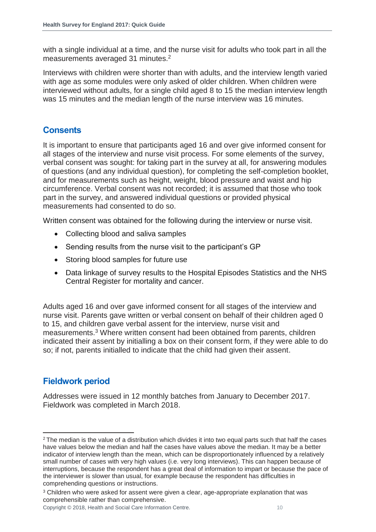with a single individual at a time, and the nurse visit for adults who took part in all the measurements averaged 31 minutes.<sup>2</sup>

Interviews with children were shorter than with adults, and the interview length varied with age as some modules were only asked of older children. When children were interviewed without adults, for a single child aged 8 to 15 the median interview length was 15 minutes and the median length of the nurse interview was 16 minutes.

#### <span id="page-9-0"></span>**Consents**

It is important to ensure that participants aged 16 and over give informed consent for all stages of the interview and nurse visit process. For some elements of the survey, verbal consent was sought: for taking part in the survey at all, for answering modules of questions (and any individual question), for completing the self-completion booklet, and for measurements such as height, weight, blood pressure and waist and hip circumference. Verbal consent was not recorded; it is assumed that those who took part in the survey, and answered individual questions or provided physical measurements had consented to do so.

Written consent was obtained for the following during the interview or nurse visit.

- Collecting blood and saliva samples
- Sending results from the nurse visit to the participant's GP
- Storing blood samples for future use
- Data linkage of survey results to the Hospital Episodes Statistics and the NHS Central Register for mortality and cancer.

Adults aged 16 and over gave informed consent for all stages of the interview and nurse visit. Parents gave written or verbal consent on behalf of their children aged 0 to 15, and children gave verbal assent for the interview, nurse visit and measurements.<sup>3</sup> Where written consent had been obtained from parents, children indicated their assent by initialling a box on their consent form, if they were able to do so; if not, parents initialled to indicate that the child had given their assent.

#### <span id="page-9-1"></span>**Fieldwork period**

Addresses were issued in 12 monthly batches from January to December 2017. Fieldwork was completed in March 2018.

l <sup>2</sup> The median is the value of a distribution which divides it into two equal parts such that half the cases have values below the median and half the cases have values above the median. It may be a better indicator of interview length than the mean, which can be disproportionately influenced by a relatively small number of cases with very high values (i.e. very long interviews). This can happen because of interruptions, because the respondent has a great deal of information to impart or because the pace of the interviewer is slower than usual, for example because the respondent has difficulties in comprehending questions or instructions.

<sup>&</sup>lt;sup>3</sup> Children who were asked for assent were given a clear, age-appropriate explanation that was comprehensible rather than comprehensive.

Copyright © 2018, Health and Social Care Information Centre. 10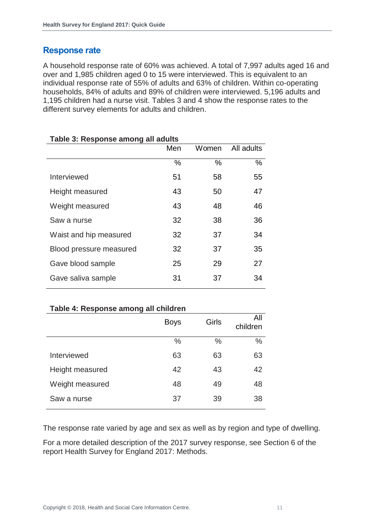#### <span id="page-10-0"></span>**Response rate**

A household response rate of 60% was achieved. A total of 7,997 adults aged 16 and over and 1,985 children aged 0 to 15 were interviewed. This is equivalent to an individual response rate of 55% of adults and 63% of children. Within co-operating households, 84% of adults and 89% of children were interviewed. 5,196 adults and 1,195 children had a nurse visit. Tables 3 and 4 show the response rates to the different survey elements for adults and children.

| Taple J. Response among an addits |     |       |            |  |
|-----------------------------------|-----|-------|------------|--|
|                                   | Men | Women | All adults |  |
|                                   | %   | $\%$  | $\%$       |  |
| Interviewed                       | 51  | 58    | 55         |  |
| Height measured                   | 43  | 50    | 47         |  |
| Weight measured                   | 43  | 48    | 46         |  |
| Saw a nurse                       | 32  | 38    | 36         |  |
| Waist and hip measured            | 32  | 37    | 34         |  |
| Blood pressure measured           | 32  | 37    | 35         |  |
| Gave blood sample                 | 25  | 29    | 27         |  |
| Gave saliva sample                | 31  | 37    | 34         |  |
|                                   |     |       |            |  |

#### **Table 3: Response among all adults**

#### **Table 4: Response among all children**

|                 | <b>Boys</b> | Girls | All<br>children |
|-----------------|-------------|-------|-----------------|
|                 | $\%$        | $\%$  | $\frac{0}{0}$   |
| Interviewed     | 63          | 63    | 63              |
| Height measured | 42          | 43    | 42              |
| Weight measured | 48          | 49    | 48              |
| Saw a nurse     | 37          | 39    | 38              |

The response rate varied by age and sex as well as by region and type of dwelling.

For a more detailed description of the 2017 survey response, see Section 6 of the report Health Survey for England 2017: Methods.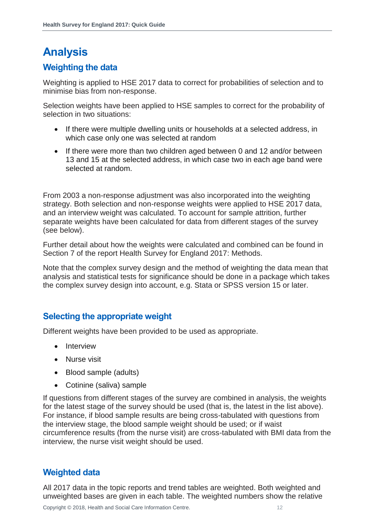# <span id="page-11-0"></span>**Analysis**

#### <span id="page-11-1"></span>**Weighting the data**

Weighting is applied to HSE 2017 data to correct for probabilities of selection and to minimise bias from non-response.

Selection weights have been applied to HSE samples to correct for the probability of selection in two situations:

- If there were multiple dwelling units or households at a selected address, in which case only one was selected at random
- If there were more than two children aged between 0 and 12 and/or between 13 and 15 at the selected address, in which case two in each age band were selected at random.

From 2003 a non-response adjustment was also incorporated into the weighting strategy. Both selection and non-response weights were applied to HSE 2017 data, and an interview weight was calculated. To account for sample attrition, further separate weights have been calculated for data from different stages of the survey (see below).

Further detail about how the weights were calculated and combined can be found in Section 7 of the report Health Survey for England 2017: Methods.

Note that the complex survey design and the method of weighting the data mean that analysis and statistical tests for significance should be done in a package which takes the complex survey design into account, e.g. Stata or SPSS version 15 or later.

#### <span id="page-11-2"></span>**Selecting the appropriate weight**

Different weights have been provided to be used as appropriate.

- Interview
- Nurse visit
- Blood sample (adults)
- Cotinine (saliva) sample

If questions from different stages of the survey are combined in analysis, the weights for the latest stage of the survey should be used (that is, the latest in the list above). For instance, if blood sample results are being cross-tabulated with questions from the interview stage, the blood sample weight should be used; or if waist circumference results (from the nurse visit) are cross-tabulated with BMI data from the interview, the nurse visit weight should be used.

#### <span id="page-11-3"></span>**Weighted data**

All 2017 data in the topic reports and trend tables are weighted. Both weighted and unweighted bases are given in each table. The weighted numbers show the relative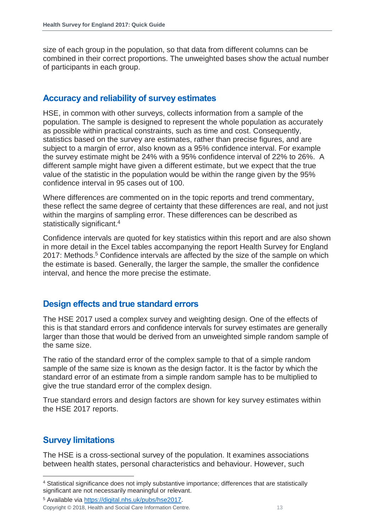size of each group in the population, so that data from different columns can be combined in their correct proportions. The unweighted bases show the actual number of participants in each group.

#### <span id="page-12-0"></span>**Accuracy and reliability of survey estimates**

HSE, in common with other surveys, collects information from a sample of the population. The sample is designed to represent the whole population as accurately as possible within practical constraints, such as time and cost. Consequently, statistics based on the survey are estimates, rather than precise figures, and are subject to a margin of error, also known as a 95% confidence interval. For example the survey estimate might be 24% with a 95% confidence interval of 22% to 26%. A different sample might have given a different estimate, but we expect that the true value of the statistic in the population would be within the range given by the 95% confidence interval in 95 cases out of 100.

Where differences are commented on in the topic reports and trend commentary, these reflect the same degree of certainty that these differences are real, and not just within the margins of sampling error. These differences can be described as statistically significant.<sup>4</sup>

Confidence intervals are quoted for key statistics within this report and are also shown in more detail in the Excel tables accompanying the report Health Survey for England 2017: Methods.<sup>5</sup> Confidence intervals are affected by the size of the sample on which the estimate is based. Generally, the larger the sample, the smaller the confidence interval, and hence the more precise the estimate.

#### <span id="page-12-1"></span>**Design effects and true standard errors**

The HSE 2017 used a complex survey and weighting design. One of the effects of this is that standard errors and confidence intervals for survey estimates are generally larger than those that would be derived from an unweighted simple random sample of the same size.

The ratio of the standard error of the complex sample to that of a simple random sample of the same size is known as the design factor. It is the factor by which the standard error of an estimate from a simple random sample has to be multiplied to give the true standard error of the complex design.

True standard errors and design factors are shown for key survey estimates within the HSE 2017 reports.

#### <span id="page-12-2"></span>**Survey limitations**

l

The HSE is a cross-sectional survey of the population. It examines associations between health states, personal characteristics and behaviour. However, such

<sup>4</sup> Statistical significance does not imply substantive importance; differences that are statistically significant are not necessarily meaningful or relevant.

<sup>5</sup> Available via [https://digital.nhs.uk/pubs/hse2017.](https://digital.nhs.uk/pubs/hse2017)

Copyright © 2018, Health and Social Care Information Centre. 13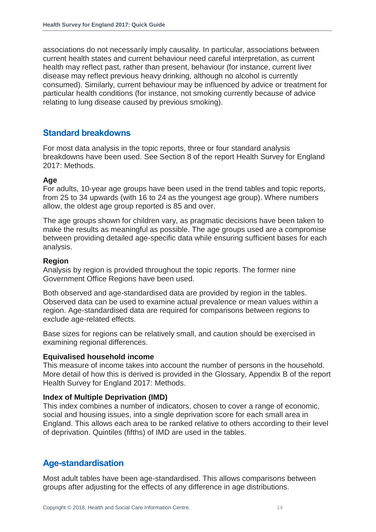associations do not necessarily imply causality. In particular, associations between current health states and current behaviour need careful interpretation, as current health may reflect past, rather than present, behaviour (for instance, current liver disease may reflect previous heavy drinking, although no alcohol is currently consumed). Similarly, current behaviour may be influenced by advice or treatment for particular health conditions (for instance, not smoking currently because of advice relating to lung disease caused by previous smoking).

#### <span id="page-13-0"></span>**Standard breakdowns**

For most data analysis in the topic reports, three or four standard analysis breakdowns have been used. See Section 8 of the report Health Survey for England 2017: Methods.

#### **Age**

For adults, 10-year age groups have been used in the trend tables and topic reports, from 25 to 34 upwards (with 16 to 24 as the youngest age group). Where numbers allow, the oldest age group reported is 85 and over.

The age groups shown for children vary, as pragmatic decisions have been taken to make the results as meaningful as possible. The age groups used are a compromise between providing detailed age-specific data while ensuring sufficient bases for each analysis.

#### **Region**

Analysis by region is provided throughout the topic reports. The former nine Government Office Regions have been used.

Both observed and age-standardised data are provided by region in the tables. Observed data can be used to examine actual prevalence or mean values within a region. Age-standardised data are required for comparisons between regions to exclude age-related effects.

Base sizes for regions can be relatively small, and caution should be exercised in examining regional differences.

#### **Equivalised household income**

This measure of income takes into account the number of persons in the household. More detail of how this is derived is provided in the Glossary, Appendix B of the report Health Survey for England 2017: Methods.

#### **Index of Multiple Deprivation (IMD)**

This index combines a number of indicators, chosen to cover a range of economic, social and housing issues, into a single deprivation score for each small area in England. This allows each area to be ranked relative to others according to their level of deprivation. Quintiles (fifths) of IMD are used in the tables.

#### <span id="page-13-1"></span>**Age-standardisation**

Most adult tables have been age-standardised. This allows comparisons between groups after adjusting for the effects of any difference in age distributions.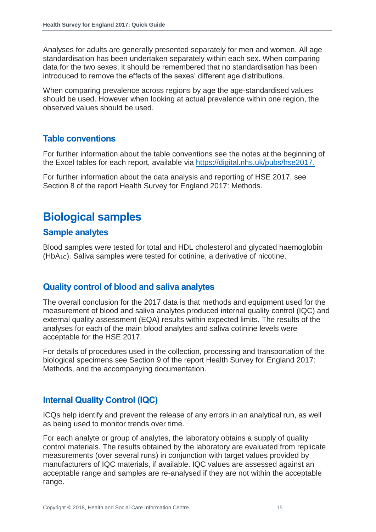Analyses for adults are generally presented separately for men and women. All age standardisation has been undertaken separately within each sex. When comparing data for the two sexes, it should be remembered that no standardisation has been introduced to remove the effects of the sexes' different age distributions.

When comparing prevalence across regions by age the age-standardised values should be used. However when looking at actual prevalence within one region, the observed values should be used.

#### <span id="page-14-0"></span>**Table conventions**

For further information about the table conventions see the notes at the beginning of the Excel tables for each report, available via [https://digital.nhs.uk/pubs/hse2017.](https://digital.nhs.uk/pubs/hse2017)

For further information about the data analysis and reporting of HSE 2017, see Section 8 of the report Health Survey for England 2017: Methods.

## <span id="page-14-1"></span>**Biological samples**

#### <span id="page-14-2"></span>**Sample analytes**

Blood samples were tested for total and HDL cholesterol and glycated haemoglobin (HbA1C). Saliva samples were tested for cotinine, a derivative of nicotine.

#### <span id="page-14-3"></span>**Quality control of blood and saliva analytes**

The overall conclusion for the 2017 data is that methods and equipment used for the measurement of blood and saliva analytes produced internal quality control (IQC) and external quality assessment (EQA) results within expected limits. The results of the analyses for each of the main blood analytes and saliva cotinine levels were acceptable for the HSE 2017.

For details of procedures used in the collection, processing and transportation of the biological specimens see Section 9 of the report Health Survey for England 2017: Methods, and the accompanying documentation.

#### <span id="page-14-4"></span>**Internal Quality Control (IQC)**

ICQs help identify and prevent the release of any errors in an analytical run, as well as being used to monitor trends over time.

For each analyte or group of analytes, the laboratory obtains a supply of quality control materials. The results obtained by the laboratory are evaluated from replicate measurements (over several runs) in conjunction with target values provided by manufacturers of IQC materials, if available. IQC values are assessed against an acceptable range and samples are re-analysed if they are not within the acceptable range.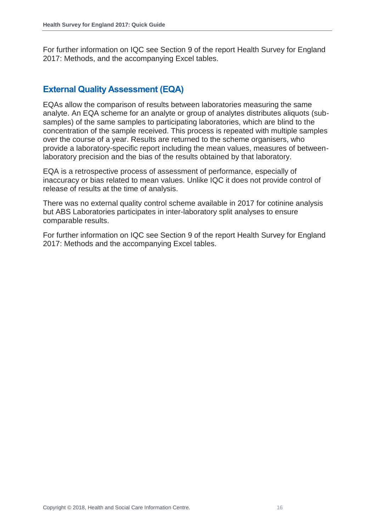For further information on IQC see Section 9 of the report Health Survey for England 2017: Methods, and the accompanying Excel tables.

#### <span id="page-15-0"></span>**External Quality Assessment (EQA)**

EQAs allow the comparison of results between laboratories measuring the same analyte. An EQA scheme for an analyte or group of analytes distributes aliquots (subsamples) of the same samples to participating laboratories, which are blind to the concentration of the sample received. This process is repeated with multiple samples over the course of a year. Results are returned to the scheme organisers, who provide a laboratory-specific report including the mean values, measures of betweenlaboratory precision and the bias of the results obtained by that laboratory.

EQA is a retrospective process of assessment of performance, especially of inaccuracy or bias related to mean values. Unlike IQC it does not provide control of release of results at the time of analysis.

There was no external quality control scheme available in 2017 for cotinine analysis but ABS Laboratories participates in inter-laboratory split analyses to ensure comparable results.

For further information on IQC see Section 9 of the report Health Survey for England 2017: Methods and the accompanying Excel tables.